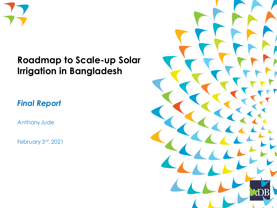

#### **Roadmap to Scale-up Solar Irrigation in Bangladesh**

*Final Report*

Anthony Jude

February 3rd, 2021

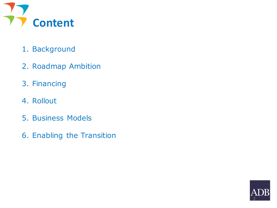

- 1. Background
- 2. Roadmap Ambition
- 3. Financing
- 4. Rollout
- 5. Business Models
- 6. Enabling the Transition

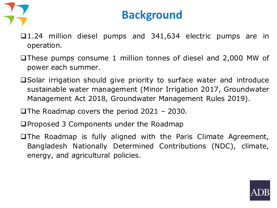

#### **Background**

- ❑1.24 million diesel pumps and 341,634 electric pumps are in operation.
- ❑These pumps consume 1 million tonnes of diesel and 2,000 MW of power each summer.
- ❑Solar irrigation should give priority to surface water and introduce sustainable water management (Minor Irrigation 2017, Groundwater Management Act 2018, Groundwater Management Rules 2019).
- ❑The Roadmap covers the period 2021 2030.
- ❑Proposed 3 Components under the Roadmap
- ❑The Roadmap is fully aligned with the Paris Climate Agreement, Bangladesh Nationally Determined Contributions (NDC), climate, energy, and agricultural policies.

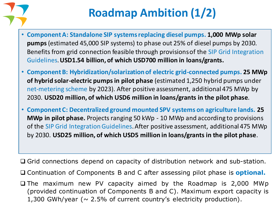

# **Roadmap Ambition (1/2)**

- **Component A: Standalone SIP systems replacing diesel pumps. 1,000 MWp solar pumps** (estimated 45,000 SIP systems) to phase out 25% of diesel pumps by 2030. Benefits from grid connection feasible through provisions of the SIP Grid Integration Guidelines. **USD1.54 billion, of which USD700 million in loans/grants.**
- **Component B: Hybridization/solarization of electric grid-connected pumps. 25 MWp of hybrid solar-electric pumps in pilot phase** (estimated 1,250 hybrid pumps under net-metering scheme by 2023). After positive assessment, additional 475 MWp by 2030. **USD20 million, of which USD6 million in loans/grants in the pilot phase**.
- **Component C: Decentralized ground mounted SPV systems on agriculture lands. 25 MWp in pilot phase.** Projects ranging 50 kWp - 10 MWp and according to provisions of the SIP Grid Integration Guidelines. After positive assessment, additional 475 MWp by 2030. **USD25 million, of which USD5 million in loans/grants in the pilot phase**.

❑ Grid connections depend on capacity of distribution network and sub-station.

- ❑ Continuation of Components B and C after assessing pilot phase is **optional.**
- ❑ The maximum new PV capacity aimed by the Roadmap is 2,000 MWp (provided continuation of Components B and C). Maximum export capacity is 1,300 GWh/year ( $\sim$  2.5% of current country's electricity production).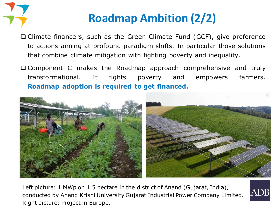

# **Roadmap Ambition (2/2)**

- ❑ Climate financers, such as the Green Climate Fund (GCF), give preference to actions aiming at profound paradigm shifts. In particular those solutions that combine climate mitigation with fighting poverty and inequality.
- ❑ Component C makes the Roadmap approach comprehensive and truly transformational. It fights poverty and empowers farmers. **Roadmap adoption is required to get financed.**



Left picture: 1 MWp on 1.5 hectare in the district of Anand (Gujarat, India), conducted by Anand Krishi University Gujarat Industrial Power Company Limited. Right picture: Project in Europe.

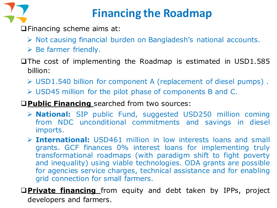

### **Financing the Roadmap**

❑Financing scheme aims at:

- ➢ Not causing financial burden on Bangladesh's national accounts.
- $\triangleright$  Be farmer friendly.
- ❑The cost of implementing the Roadmap is estimated in USD1.585 billion:
	- ➢ USD1.540 billion for component A (replacement of diesel pumps) .
	- ➢ USD45 million for the pilot phase of components B and C.

#### ❑**Public Financing** searched from two sources:

- ➢ **National:** SIP public Fund, suggested USD250 million coming from NDC unconditional commitments and savings in diesel imports.
- ➢ **International:** USD461 million in low interests loans and small grants. GCF finances 0% interest loans for implementing truly transformational roadmaps (with paradigm shift to fight poverty and inequality) using viable technologies. ODA grants are possible for agencies service charges, technical assistance and for enabling grid connection for small farmers.

❑**Private financing** from equity and debt taken by IPPs, project developers and farmers.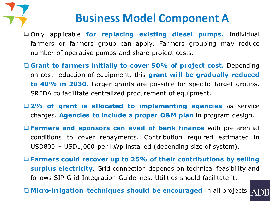

#### **Business Model Component A**

❑ Only applicable **for replacing existing diesel pumps.** Individual farmers or farmers group can apply. Farmers grouping may reduce number of operative pumps and share project costs.

- ❑ **Grant to farmers initially to cover 50% of project cost.** Depending on cost reduction of equipment, this **grant will be gradually reduced to 40% in 2030.** Larger grants are possible for specific target groups. SREDA to facilitate centralized procurement of equipment.
- ❑ **2% of grant is allocated to implementing agencies** as service charges. **Agencies to include a proper O&M plan** in program design.
- ❑ **Farmers and sponsors can avail of bank finance** with preferential conditions to cover repayments. Contribution required estimated in USD800 – USD1,000 per kWp installed (depending size of system).
- ❑ **Farmers could recover up to 25% of their contributions by selling surplus electricity**. Grid connection depends on technical feasibility and follows SIP Grid Integration Guidelines. Utilities should facilitate it.

❑ **Micro-irrigation techniques should be encouraged** in all projects.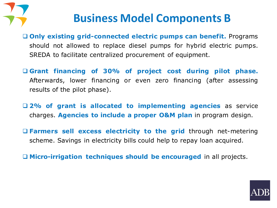

### **Business Model Components B**

❑ **Only existing grid-connected electric pumps can benefit.** Programs should not allowed to replace diesel pumps for hybrid electric pumps. SREDA to facilitate centralized procurement of equipment.

❑ **Grant financing of 30% of project cost during pilot phase.** Afterwards, lower financing or even zero financing (after assessing results of the pilot phase).

❑ **2% of grant is allocated to implementing agencies** as service charges. **Agencies to include a proper O&M plan** in program design.

❑ **Farmers sell excess electricity to the grid** through net-metering scheme. Savings in electricity bills could help to repay loan acquired.

❑ **Micro-irrigation techniques should be encouraged** in all projects.

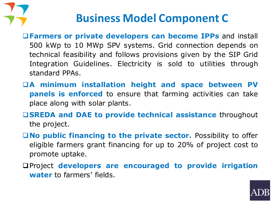

### **Business Model Component C**

- ❑**Farmers or private developers can become IPPs** and install 500 kWp to 10 MWp SPV systems. Grid connection depends on technical feasibility and follows provisions given by the SIP Grid Integration Guidelines. Electricity is sold to utilities through standard PPAs.
- ❑**A minimum installation height and space between PV panels is enforced** to ensure that farming activities can take place along with solar plants.
- ❑**SREDA and DAE to provide technical assistance** throughout the project.
- ❑**No public financing to the private sector.** Possibility to offer eligible farmers grant financing for up to 20% of project cost to promote uptake.
- ❑Project **developers are encouraged to provide irrigation water** to farmers' fields.

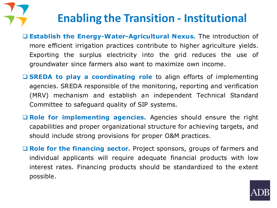# **Enabling the Transition - Institutional**

- ❑ **Establish the Energy-Water-Agricultural Nexus.** The introduction of more efficient irrigation practices contribute to higher agriculture yields. Exporting the surplus electricity into the grid reduces the use of groundwater since farmers also want to maximize own income.
- ❑ **SREDA to play a coordinating role** to align efforts of implementing agencies. SREDA responsible of the monitoring, reporting and verification (MRV) mechanism and establish an independent Technical Standard Committee to safeguard quality of SIP systems.
- ❑ **Role for implementing agencies.** Agencies should ensure the right capabilities and proper organizational structure for achieving targets, and should include strong provisions for proper O&M practices.
- ❑ **Role for the financing sector.** Project sponsors, groups of farmers and individual applicants will require adequate financial products with low interest rates. Financing products should be standardized to the extent possible.

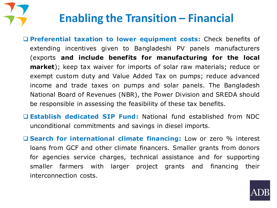

# **Enabling the Transition – Financial**

- ❑ **Preferential taxation to lower equipment costs:** Check benefits of extending incentives given to Bangladeshi PV panels manufacturers (exports **and include benefits for manufacturing for the local market**); keep tax waiver for imports of solar raw materials; reduce or exempt custom duty and Value Added Tax on pumps; reduce advanced income and trade taxes on pumps and solar panels. The Bangladesh National Board of Revenues (NBR), the Power Division and SREDA should be responsible in assessing the feasibility of these tax benefits.
- ❑ **Establish dedicated SIP Fund:** National fund established from NDC unconditional commitments and savings in diesel imports.
- ❑ **Search for international climate financing:** Low or zero % interest loans from GCF and other climate financers. Smaller grants from donors for agencies service charges, technical assistance and for supporting smaller farmers with larger project grants and financing their interconnection costs.

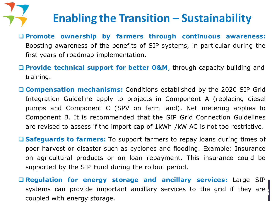# **Enabling the Transition – Sustainability**

- ❑ **Promote ownership by farmers through continuous awareness:** Boosting awareness of the benefits of SIP systems, in particular during the first years of roadmap implementation.
- ❑ **Provide technical support for better O&M**, through capacity building and training.
- ❑ **Compensation mechanisms:** Conditions established by the 2020 SIP Grid Integration Guideline apply to projects in Component A (replacing diesel pumps and Component C (SPV on farm land). Net metering applies to Component B. It is recommended that the SIP Grid Connection Guidelines are revised to assess if the import cap of 1kWh /kW AC is not too restrictive.
- ❑ **Safeguards to farmers:** To support farmers to repay loans during times of poor harvest or disaster such as cyclones and flooding. Example: Insurance on agricultural products or on loan repayment. This insurance could be supported by the SIP Fund during the rollout period.
- ❑ **Regulation for energy storage and ancillary services:** Large SIP systems can provide important ancillary services to the grid if they are coupled with energy storage.